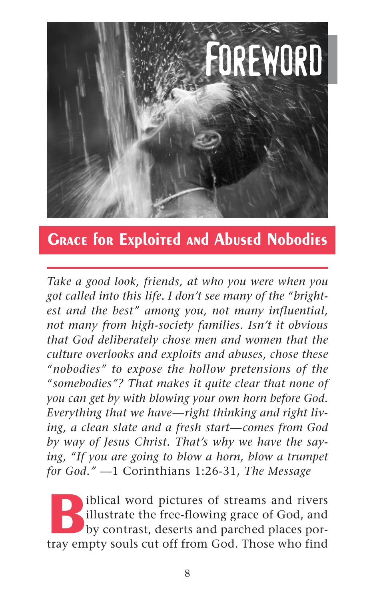

## **Grace for Exploited and Abused Nobodies**

*Take a good look, friends, at who you were when you got called into this life. I don't see many of the "brightest and the best" among you, not many influential, not many from high-society families. Isn't it obvious that God deliberately chose men and women that the culture overlooks and exploits and abuses, chose these "nobodies" to expose the hollow pretensions of the "somebodies"? That makes it quite clear that none of you can get by with blowing your own horn before God. Everything that we have—right thinking and right living, a clean slate and a fresh start—comes from God by way of Jesus Christ. That's why we have the saying, "If you are going to blow a horn, blow a trumpet for God."* —1 Corinthians 1:26-31, *The Message*

**B**iblical word pictures of streams and rivers<br>
illustrate the free-flowing grace of God, and<br>
by contrast, deserts and parched places por-<br>
tray empty souls cut off from God. Those who find iblical word pictures of streams and rivers illustrate the free-flowing grace of God, and by contrast, deserts and parched places por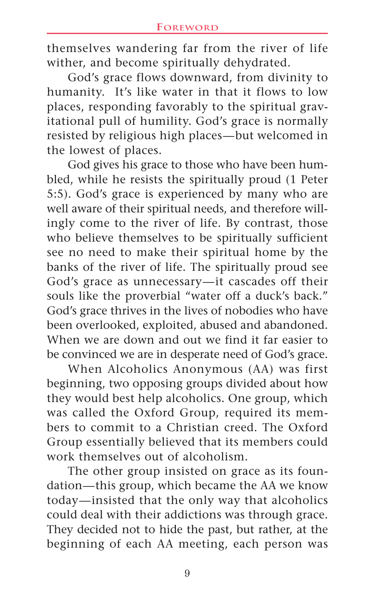themselves wandering far from the river of life wither, and become spiritually dehydrated.

God's grace flows downward, from divinity to humanity. It's like water in that it flows to low places, responding favorably to the spiritual gravitational pull of humility. God's grace is normally resisted by religious high places—but welcomed in the lowest of places.

God gives his grace to those who have been humbled, while he resists the spiritually proud (1 Peter 5:5). God's grace is experienced by many who are well aware of their spiritual needs, and therefore willingly come to the river of life. By contrast, those who believe themselves to be spiritually sufficient see no need to make their spiritual home by the banks of the river of life. The spiritually proud see God's grace as unnecessary—it cascades off their souls like the proverbial "water off a duck's back." God's grace thrives in the lives of nobodies who have been overlooked, exploited, abused and abandoned. When we are down and out we find it far easier to be convinced we are in desperate need of God's grace.

When Alcoholics Anonymous (AA) was first beginning, two opposing groups divided about how they would best help alcoholics. One group, which was called the Oxford Group, required its members to commit to a Christian creed. The Oxford Group essentially believed that its members could work themselves out of alcoholism.

The other group insisted on grace as its foundation—this group, which became the AA we know today—insisted that the only way that alcoholics could deal with their addictions was through grace. They decided not to hide the past, but rather, at the beginning of each AA meeting, each person was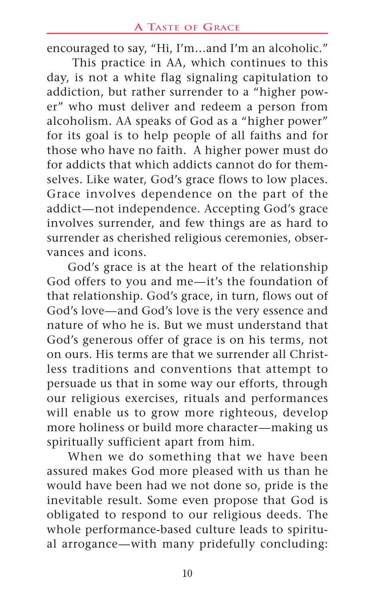encouraged to say, "Hi, I'm…and I'm an alcoholic."

This practice in AA, which continues to this day, is not a white flag signaling capitulation to addiction, but rather surrender to a "higher power" who must deliver and redeem a person from alcoholism. AA speaks of God as a "higher power" for its goal is to help people of all faiths and for those who have no faith. A higher power must do for addicts that which addicts cannot do for themselves. Like water, God's grace flows to low places. Grace involves dependence on the part of the addict—not independence. Accepting God's grace involves surrender, and few things are as hard to surrender as cherished religious ceremonies, observances and icons.

God's grace is at the heart of the relationship God offers to you and me—it's the foundation of that relationship. God's grace, in turn, flows out of God's love—and God's love is the very essence and nature of who he is. But we must understand that God's generous offer of grace is on his terms, not on ours. His terms are that we surrender all Christless traditions and conventions that attempt to persuade us that in some way our efforts, through our religious exercises, rituals and performances will enable us to grow more righteous, develop more holiness or build more character—making us spiritually sufficient apart from him.

When we do something that we have been assured makes God more pleased with us than he would have been had we not done so, pride is the inevitable result. Some even propose that God is obligated to respond to our religious deeds. The whole performance-based culture leads to spiritual arrogance—with many pridefully concluding: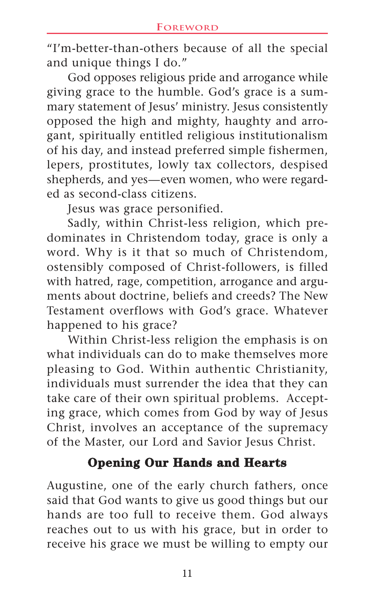"I'm-better-than-others because of all the special and unique things I do."

God opposes religious pride and arrogance while giving grace to the humble. God's grace is a summary statement of Jesus' ministry. Jesus consistently opposed the high and mighty, haughty and arrogant, spiritually entitled religious institutionalism of his day, and instead preferred simple fishermen, lepers, prostitutes, lowly tax collectors, despised shepherds, and yes—even women, who were regarded as second-class citizens.

Jesus was grace personified.

Sadly, within Christ-less religion, which predominates in Christendom today, grace is only a word. Why is it that so much of Christendom, ostensibly composed of Christ-followers, is filled with hatred, rage, competition, arrogance and arguments about doctrine, beliefs and creeds? The New Testament overflows with God's grace. Whatever happened to his grace?

Within Christ-less religion the emphasis is on what individuals can do to make themselves more pleasing to God. Within authentic Christianity, individuals must surrender the idea that they can take care of their own spiritual problems. Accepting grace, which comes from God by way of Jesus Christ, involves an acceptance of the supremacy of the Master, our Lord and Savior Jesus Christ.

## **Opening Our Hands and Hearts**

Augustine, one of the early church fathers, once said that God wants to give us good things but our hands are too full to receive them. God always reaches out to us with his grace, but in order to receive his grace we must be willing to empty our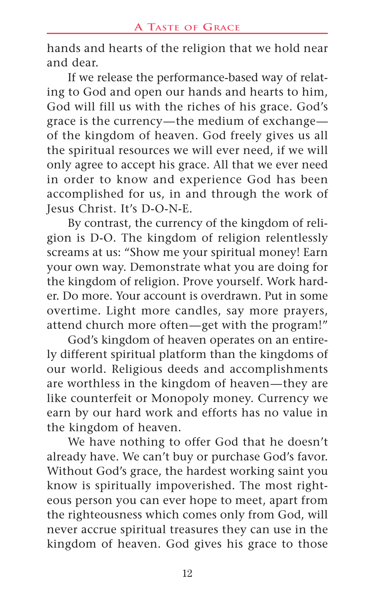hands and hearts of the religion that we hold near and dear.

If we release the performance-based way of relating to God and open our hands and hearts to him, God will fill us with the riches of his grace. God's grace is the currency—the medium of exchange of the kingdom of heaven. God freely gives us all the spiritual resources we will ever need, if we will only agree to accept his grace. All that we ever need in order to know and experience God has been accomplished for us, in and through the work of Jesus Christ. It's D-O-N-E.

By contrast, the currency of the kingdom of religion is D-O. The kingdom of religion relentlessly screams at us: "Show me your spiritual money! Earn your own way. Demonstrate what you are doing for the kingdom of religion. Prove yourself. Work harder. Do more. Your account is overdrawn. Put in some overtime. Light more candles, say more prayers, attend church more often—get with the program!"

God's kingdom of heaven operates on an entirely different spiritual platform than the kingdoms of our world. Religious deeds and accomplishments are worthless in the kingdom of heaven—they are like counterfeit or Monopoly money. Currency we earn by our hard work and efforts has no value in the kingdom of heaven.

We have nothing to offer God that he doesn't already have. We can't buy or purchase God's favor. Without God's grace, the hardest working saint you know is spiritually impoverished. The most righteous person you can ever hope to meet, apart from the righteousness which comes only from God, will never accrue spiritual treasures they can use in the kingdom of heaven. God gives his grace to those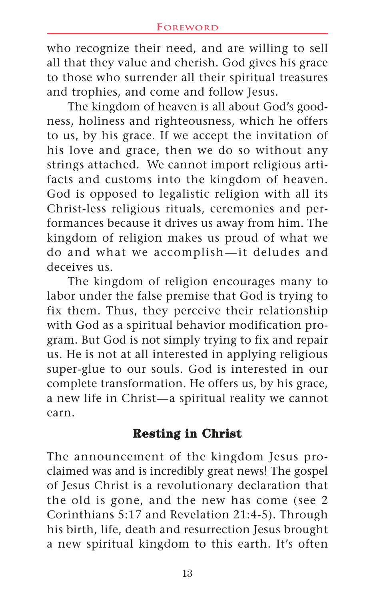who recognize their need, and are willing to sell all that they value and cherish. God gives his grace to those who surrender all their spiritual treasures and trophies, and come and follow Jesus.

The kingdom of heaven is all about God's goodness, holiness and righteousness, which he offers to us, by his grace. If we accept the invitation of his love and grace, then we do so without any strings attached. We cannot import religious artifacts and customs into the kingdom of heaven. God is opposed to legalistic religion with all its Christ-less religious rituals, ceremonies and performances because it drives us away from him. The kingdom of religion makes us proud of what we do and what we accomplish—it deludes and deceives us.

The kingdom of religion encourages many to labor under the false premise that God is trying to fix them. Thus, they perceive their relationship with God as a spiritual behavior modification program. But God is not simply trying to fix and repair us. He is not at all interested in applying religious super-glue to our souls. God is interested in our complete transformation. He offers us, by his grace, a new life in Christ—a spiritual reality we cannot earn.

## **Resting in Christ**

The announcement of the kingdom Jesus proclaimed was and is incredibly great news! The gospel of Jesus Christ is a revolutionary declaration that the old is gone, and the new has come (see 2 Corinthians 5:17 and Revelation 21:4-5). Through his birth, life, death and resurrection Jesus brought a new spiritual kingdom to this earth. It's often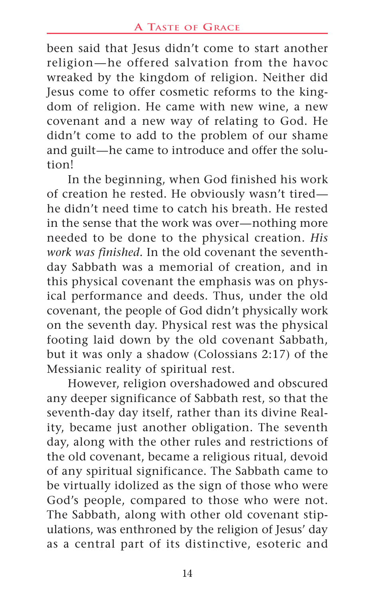been said that Jesus didn't come to start another religion—he offered salvation from the havoc wreaked by the kingdom of religion. Neither did Jesus come to offer cosmetic reforms to the kingdom of religion. He came with new wine, a new covenant and a new way of relating to God. He didn't come to add to the problem of our shame and guilt—he came to introduce and offer the solution!

In the beginning, when God finished his work of creation he rested. He obviously wasn't tired he didn't need time to catch his breath. He rested in the sense that the work was over—nothing more needed to be done to the physical creation. *His work was finished.* In the old covenant the seventhday Sabbath was a memorial of creation, and in this physical covenant the emphasis was on physical performance and deeds. Thus, under the old covenant, the people of God didn't physically work on the seventh day. Physical rest was the physical footing laid down by the old covenant Sabbath, but it was only a shadow (Colossians 2:17) of the Messianic reality of spiritual rest.

However, religion overshadowed and obscured any deeper significance of Sabbath rest, so that the seventh-day day itself, rather than its divine Reality, became just another obligation. The seventh day, along with the other rules and restrictions of the old covenant, became a religious ritual, devoid of any spiritual significance. The Sabbath came to be virtually idolized as the sign of those who were God's people, compared to those who were not. The Sabbath, along with other old covenant stipulations, was enthroned by the religion of Jesus' day as a central part of its distinctive, esoteric and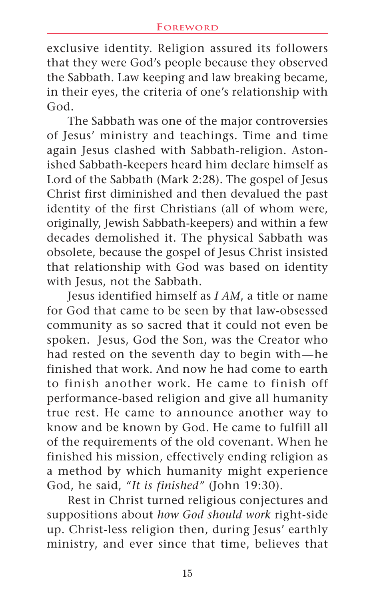exclusive identity. Religion assured its followers that they were God's people because they observed the Sabbath. Law keeping and law breaking became, in their eyes, the criteria of one's relationship with God.

The Sabbath was one of the major controversies of Jesus' ministry and teachings. Time and time again Jesus clashed with Sabbath-religion. Astonished Sabbath-keepers heard him declare himself as Lord of the Sabbath (Mark 2:28). The gospel of Jesus Christ first diminished and then devalued the past identity of the first Christians (all of whom were, originally, Jewish Sabbath-keepers) and within a few decades demolished it. The physical Sabbath was obsolete, because the gospel of Jesus Christ insisted that relationship with God was based on identity with Jesus, not the Sabbath.

Jesus identified himself as *I AM*, a title or name for God that came to be seen by that law-obsessed community as so sacred that it could not even be spoken. Jesus, God the Son, was the Creator who had rested on the seventh day to begin with—he finished that work. And now he had come to earth to finish another work. He came to finish off performance-based religion and give all humanity true rest. He came to announce another way to know and be known by God. He came to fulfill all of the requirements of the old covenant. When he finished his mission, effectively ending religion as a method by which humanity might experience God, he said, *"It is finished"* (John 19:30).

Rest in Christ turned religious conjectures and suppositions about *how God should work* right-side up. Christ-less religion then, during Jesus' earthly ministry, and ever since that time, believes that